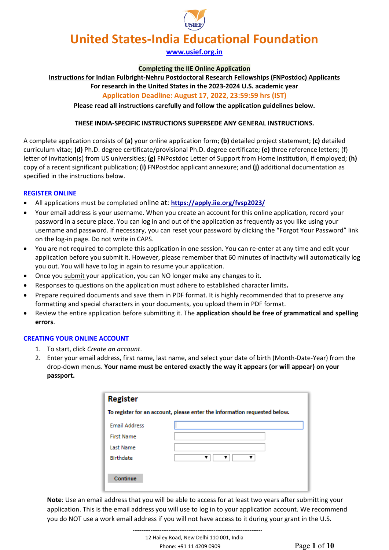# **[www.usief.org.in](http://www.usief.org.in/)**

#### **Completing the IIE Online Application**

**Instructions for Indian Fulbright-Nehru Postdoctoral Research Fellowships (FNPostdoc) Applicants**

# **For research in the United States in the 2023-2024 U.S. academic year**

**Application Deadline: August 17, 2022, 23:59:59 hrs (IST)**

**Please read all instructions carefully and follow the application guidelines below.**

## **THESE INDIA-SPECIFIC INSTRUCTIONS SUPERSEDE ANY GENERAL INSTRUCTIONS.**

A complete application consists of **(a)** your online application form; **(b)** detailed project statement; **(c)** detailed curriculum vitae; **(d)** Ph.D. degree certificate/provisional Ph.D. degree certificate; **(e)** three reference letters; (f) letter of invitation(s) from US universities; **(g)** FNPostdoc Letter of Support from Home Institution, if employed; **(h)** copy of a recent significant publication; **(i)** FNPostdoc applicant annexure; and **(j)** additional documentation as specified in the instructions below.

## **REGISTER ONLINE**

- All applications must be completed online at: **<https://apply.iie.org/fvsp2023/>**
- Your email address is your username. When you create an account for this online application, record your password in a secure place. You can log in and out of the application as frequently as you like using your username and password. If necessary, you can reset your password by clicking the "Forgot Your Password" link on the log-in page. Do not write in CAPS.
- You are not required to complete this application in one session. You can re-enter at any time and edit your application before you submit it. However, please remember that 60 minutes of inactivity will automatically log you out. You will have to log in again to resume your application.
- Once you submit your application, you can NO longer make any changes to it.
- Responses to questions on the application must adhere to established character limits**.**
- Prepare required documents and save them in PDF format. It is highly recommended that to preserve any formatting and special characters in your documents, you upload them in PDF format.
- Review the entire application before submitting it. The **application should be free of grammatical and spelling errors**.

## **CREATING YOUR ONLINE ACCOUNT**

- 1. To start, click *Create an account*.
- 2. Enter your email address, first name, last name, and select your date of birth (Month-Date-Year) from the drop-down menus. **Your name must be entered exactly the way it appears (or will appear) on your passport.**

| <b>Register</b>                                                           |  |  |
|---------------------------------------------------------------------------|--|--|
| To register for an account, please enter the information requested below. |  |  |
| <b>Email Address</b>                                                      |  |  |
| <b>First Name</b>                                                         |  |  |
| <b>Last Name</b>                                                          |  |  |
| Birthdate                                                                 |  |  |
| Continue                                                                  |  |  |

**Note**: Use an email address that you will be able to access for at least two years after submitting your application. This is the email address you will use to log in to your application account. We recommend you do NOT use a work email address if you will not have access to it during your grant in the U.S.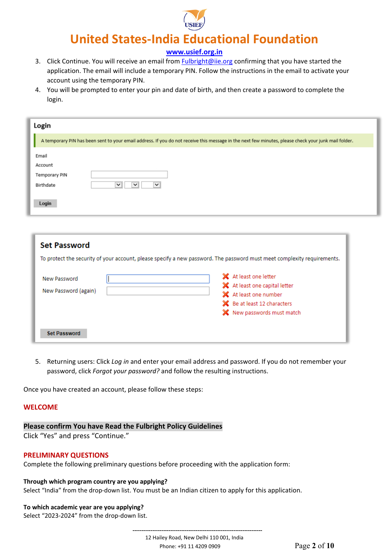

**[www.usief.org.in](http://www.usief.org.in/)**

- 3. Click Continue. You will receive an email from [Fulbright@iie.org](mailto:Fulbright@iie.org) confirming that you have started the application. The email will include a temporary PIN. Follow the instructions in the email to activate your account using the temporary PIN.
- 4. You will be prompted to enter your pin and date of birth, and then create a password to complete the login.

| Login                                                                                                                                                |  |
|------------------------------------------------------------------------------------------------------------------------------------------------------|--|
| A temporary PIN has been sent to your email address. If you do not receive this message in the next few minutes, please check your junk mail folder. |  |
| Email<br>Account<br>Temporary PIN<br>Birthdate<br>$\check{~}$<br>$\checkmark$<br>$\checkmark$                                                        |  |
| Login                                                                                                                                                |  |
| <b>Set Password</b><br>To protect the security of your account, please specify a new password. The password must meet complexity requirements.       |  |
| X At least one letter<br>New Password                                                                                                                |  |

| New Password         | X At least one letter         |
|----------------------|-------------------------------|
|                      | X At least one capital letter |
| New Password (again) | X At least one number         |
|                      | Be at least 12 characters     |
|                      | X New passwords must match    |
|                      |                               |
| <b>Set Password</b>  |                               |

5. Returning users: Click *Log in* and enter your email address and password. If you do not remember your password, click *Forgot your password?* and follow the resulting instructions.

Once you have created an account, please follow these steps:

## **WELCOME**

## **Please confirm You have Read the Fulbright Policy Guidelines**

Click "Yes" and press "Continue."

## **PRELIMINARY QUESTIONS**

Complete the following preliminary questions before proceeding with the application form:

#### **Through which program country are you applying?**

Select "India" from the drop-down list. You must be an Indian citizen to apply for this application.

# **To which academic year are you applying?**

Select "2023-2024" from the drop-down list.

 **------------------------------------------------------------------------** 12 Hailey Road, New Delhi 110 001, India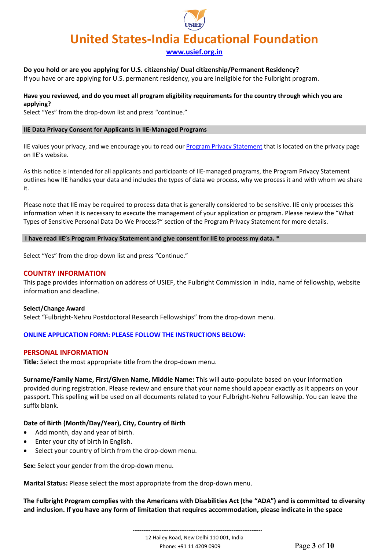**[www.usief.org.in](http://www.usief.org.in/)**

## **Do you hold or are you applying for U.S. citizenship/ Dual citizenship/Permanent Residency?**

If you have or are applying for U.S. permanent residency, you are ineligible for the Fulbright program.

## **Have you reviewed, and do you meet all program eligibility requirements for the country through which you are applying?**

Select "Yes" from the drop-down list and press "continue."

#### **IIE Data Privacy Consent for Applicants in IIE-Managed Programs**

IIE values your privacy, and we encourage you to read our [Program Privacy Statement](http://www.iie.org/Learn/Privacy/IIE-Program-Privacy-Statement) that is located on the privacy page on IIE's website.

As this notice is intended for all applicants and participants of IIE-managed programs, the Program Privacy Statement outlines how IIE handles your data and includes the types of data we process, why we process it and with whom we share it.

Please note that IIE may be required to process data that is generally considered to be sensitive. IIE only processes this information when it is necessary to execute the management of your application or program. Please review the "What Types of Sensitive Personal Data Do We Process?" section of the Program Privacy Statement for more details.

#### **I have read IIE's Program Privacy Statement and give consent for IIE to process my data. \***

Select "Yes" from the drop-down list and press "Continue."

#### **COUNTRY INFORMATION**

This page provides information on address of USIEF, the Fulbright Commission in India, name of fellowship, website information and deadline.

#### **Select/Change Award**

Select "Fulbright-Nehru Postdoctoral Research Fellowships" from the drop-down menu.

#### **ONLINE APPLICATION FORM: PLEASE FOLLOW THE INSTRUCTIONS BELOW:**

#### **PERSONAL INFORMATION**

**Title:** Select the most appropriate title from the drop-down menu.

**Surname/Family Name, First/Given Name, Middle Name:** This will auto-populate based on your information provided during registration. Please review and ensure that your name should appear exactly as it appears on your passport. This spelling will be used on all documents related to your Fulbright-Nehru Fellowship. You can leave the suffix blank.

#### **Date of Birth (Month/Day/Year), City, Country of Birth**

- Add month, day and year of birth.
- Enter your city of birth in English.
- Select your country of birth from the drop-down menu.

**Sex:** Select your gender from the drop-down menu.

**Marital Status:** Please select the most appropriate from the drop-down menu.

**The Fulbright Program complies with the Americans with Disabilities Act (the "ADA") and is committed to diversity and inclusion. If you have any form of limitation that requires accommodation, please indicate in the space** 

> **------------------------------------------------------------------------** 12 Hailey Road, New Delhi 110 001, India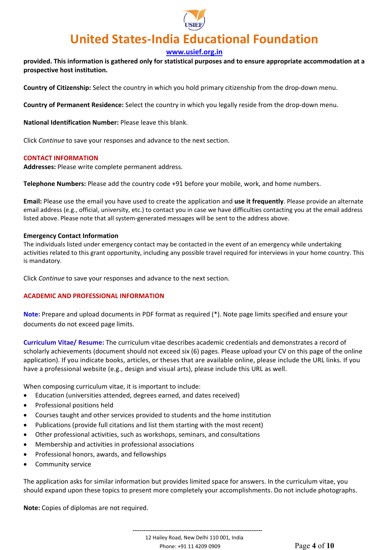

## **[www.usief.org.in](http://www.usief.org.in/)**

**provided. This information is gathered only for statistical purposes and to ensure appropriate accommodation at a prospective host institution.**

**Country of Citizenship:** Select the country in which you hold primary citizenship from the drop-down menu.

**Country of Permanent Residence:** Select the country in which you legally reside from the drop-down menu.

**National Identification Number:** Please leave this blank.

Click *Continue* to save your responses and advance to the next section.

## **CONTACT INFORMATION**

**Addresses:** Please write complete permanent address.

**Telephone Numbers:** Please add the country code +91 before your mobile, work, and home numbers.

**Email:** Please use the email you have used to create the application and **use it frequently**. Please provide an alternate email address (e.g., official, university, etc.) to contact you in case we have difficulties contacting you at the email address listed above. Please note that all system-generated messages will be sent to the address above.

## **Emergency Contact Information**

The individuals listed under emergency contact may be contacted in the event of an emergency while undertaking activities related to this grant opportunity, including any possible travel required for interviews in your home country. This is mandatory.

Click *Continue* to save your responses and advance to the next section.

## **ACADEMIC AND PROFESSIONAL INFORMATION**

**Note:** Prepare and upload documents in PDF format as required (\*). Note page limits specified and ensure your documents do not exceed page limits.

**Curriculum Vitae/ Resume:** The curriculum vitae describes academic credentials and demonstrates a record of scholarly achievements (document should not exceed six (6) pages. Please upload your CV on this page of the online application). If you indicate books, articles, or theses that are available online, please include the URL links. If you have a professional website (e.g., design and visual arts), please include this URL as well.

When composing curriculum vitae, it is important to include:

- Education (universities attended, degrees earned, and dates received)
- Professional positions held
- Courses taught and other services provided to students and the home institution
- Publications (provide full citations and list them starting with the most recent)
- Other professional activities, such as workshops, seminars, and consultations
- Membership and activities in professional associations
- Professional honors, awards, and fellowships
- Community service

The application asks for similar information but provides limited space for answers. In the curriculum vitae, you should expand upon these topics to present more completely your accomplishments. Do not include photographs.

**Note:** Copies of diplomas are not required.

 **------------------------------------------------------------------------** 12 Hailey Road, New Delhi 110 001, India Phone: +91 11 4209 0909 Page **4** of **10**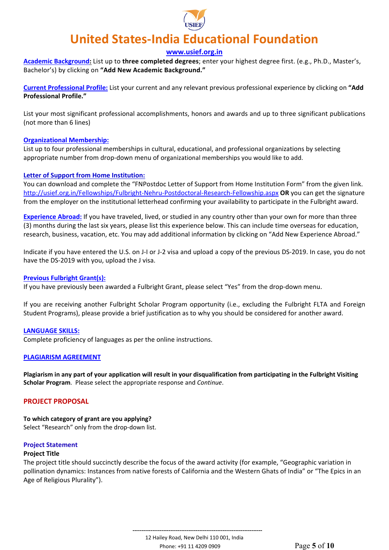

## **[www.usief.org.in](http://www.usief.org.in/)**

**Academic Background:** List up to **three completed degrees**; enter your highest degree first. (e.g., Ph.D., Master's, Bachelor's) by clicking on **"Add New Academic Background."**

**Current Professional Profile:** List your current and any relevant previous professional experience by clicking on **"Add Professional Profile."** 

List your most significant professional accomplishments, honors and awards and up to three significant publications (not more than 6 lines)

#### **Organizational Membership:**

List up to four professional memberships in cultural, educational, and professional organizations by selecting appropriate number from drop-down menu of organizational memberships you would like to add.

#### **Letter of Support from Home Institution:**

You can download and complete the "FNPostdoc Letter of Support from Home Institution Form" from the given link. <http://usief.org.in/Fellowships/Fulbright-Nehru-Postdoctoral-Research-Fellowship.aspx> **OR** you can get the signature from the employer on the institutional letterhead confirming your availability to participate in the Fulbright award.

**Experience Abroad:** If you have traveled, lived, or studied in any country other than your own for more than three (3) months during the last six years, please list this experience below. This can include time overseas for education, research, business, vacation, etc. You may add additional information by clicking on "Add New Experience Abroad."

Indicate if you have entered the U.S. on J-I or J-2 visa and upload a copy of the previous DS-2019. In case, you do not have the DS-2019 with you, upload the J visa.

#### **Previous Fulbright Grant(s):**

If you have previously been awarded a Fulbright Grant, please select "Yes" from the drop-down menu.

If you are receiving another Fulbright Scholar Program opportunity (i.e., excluding the Fulbright FLTA and Foreign Student Programs), please provide a brief justification as to why you should be considered for another award.

#### **LANGUAGE SKILLS:**

Complete proficiency of languages as per the online instructions.

## **PLAGIARISM AGREEMENT**

**Plagiarism in any part of your application will result in your disqualification from participating in the Fulbright Visiting Scholar Program**. Please select the appropriate response and *Continue*.

## **PROJECT PROPOSAL**

**To which category of grant are you applying?** Select "Research" only from the drop-down list.

#### **Project Statement**

#### **Project Title**

The project title should succinctly describe the focus of the award activity (for example, "Geographic variation in pollination dynamics: Instances from native forests of California and the Western Ghats of India" or "The Epics in an Age of Religious Plurality").

> **------------------------------------------------------------------------** 12 Hailey Road, New Delhi 110 001, India Phone: +91 11 4209 0909 Page **5** of **10**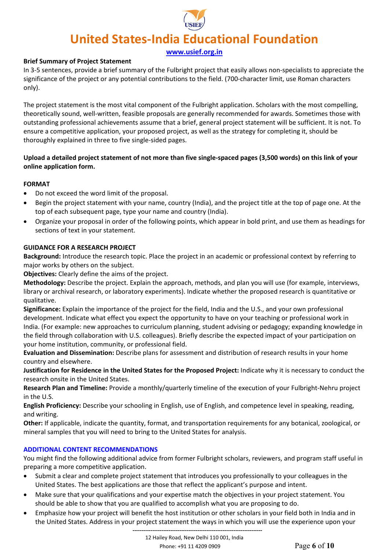**[www.usief.org.in](http://www.usief.org.in/)**

## **Brief Summary of Project Statement**

In 3-5 sentences, provide a brief summary of the Fulbright project that easily allows non-specialists to appreciate the significance of the project or any potential contributions to the field. (700-character limit, use Roman characters only).

The project statement is the most vital component of the Fulbright application. Scholars with the most compelling, theoretically sound, well-written, feasible proposals are generally recommended for awards. Sometimes those with outstanding professional achievements assume that a brief, general project statement will be sufficient. It is not. To ensure a competitive application, your proposed project, as well as the strategy for completing it, should be thoroughly explained in three to five single-sided pages.

# **Upload a detailed project statement of not more than five single-spaced pages (3,500 words) on this link of your online application form.**

## **FORMAT**

- Do not exceed the word limit of the proposal.
- Begin the project statement with your name, country (India), and the project title at the top of page one. At the top of each subsequent page, type your name and country (India).
- Organize your proposal in order of the following points, which appear in bold print, and use them as headings for sections of text in your statement.

## **GUIDANCE FOR A RESEARCH PROJECT**

**Background:** Introduce the research topic. Place the project in an academic or professional context by referring to major works by others on the subject.

**Objectives:** Clearly define the aims of the project.

**Methodology:** Describe the project. Explain the approach, methods, and plan you will use (for example, interviews, library or archival research, or laboratory experiments). Indicate whether the proposed research is quantitative or qualitative.

**Significance:** Explain the importance of the project for the field, India and the U.S., and your own professional development. Indicate what effect you expect the opportunity to have on your teaching or professional work in India. (For example: new approaches to curriculum planning, student advising or pedagogy; expanding knowledge in the field through collaboration with U.S. colleagues). Briefly describe the expected impact of your participation on your home institution, community, or professional field.

**Evaluation and Dissemination:** Describe plans for assessment and distribution of research results in your home country and elsewhere.

**Justification for Residence in the United States for the Proposed Project:** Indicate why it is necessary to conduct the research onsite in the United States.

**Research Plan and Timeline:** Provide a monthly/quarterly timeline of the execution of your Fulbright-Nehru project in the U.S.

**English Proficiency:** Describe your schooling in English, use of English, and competence level in speaking, reading, and writing.

**Other:** If applicable, indicate the quantity, format, and transportation requirements for any botanical, zoological, or mineral samples that you will need to bring to the United States for analysis.

## **ADDITIONAL CONTENT RECOMMENDATIONS**

You might find the following additional advice from former Fulbright scholars, reviewers, and program staff useful in preparing a more competitive application.

- Submit a clear and complete project statement that introduces you professionally to your colleagues in the United States. The best applications are those that reflect the applicant's purpose and intent.
- Make sure that your qualifications and your expertise match the objectives in your project statement. You should be able to show that you are qualified to accomplish what you are proposing to do.
- Emphasize how your project will benefit the host institution or other scholars in your field both in India and in the United States. Address in your project statement the ways in which you will use the experience upon your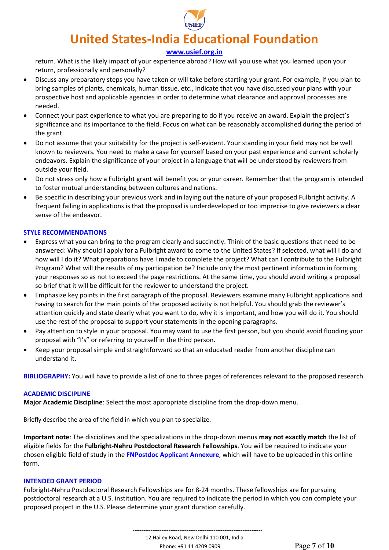

## **[www.usief.org.in](http://www.usief.org.in/)**

return. What is the likely impact of your experience abroad? How will you use what you learned upon your return, professionally and personally?

- Discuss any preparatory steps you have taken or will take before starting your grant. For example, if you plan to bring samples of plants, chemicals, human tissue, etc., indicate that you have discussed your plans with your prospective host and applicable agencies in order to determine what clearance and approval processes are needed.
- Connect your past experience to what you are preparing to do if you receive an award. Explain the project's significance and its importance to the field. Focus on what can be reasonably accomplished during the period of the grant.
- Do not assume that your suitability for the project is self-evident. Your standing in your field may not be well known to reviewers. You need to make a case for yourself based on your past experience and current scholarly endeavors. Explain the significance of your project in a language that will be understood by reviewers from outside your field.
- Do not stress only how a Fulbright grant will benefit you or your career. Remember that the program is intended to foster mutual understanding between cultures and nations.
- Be specific in describing your previous work and in laying out the nature of your proposed Fulbright activity. A frequent failing in applications is that the proposal is underdeveloped or too imprecise to give reviewers a clear sense of the endeavor.

## **STYLE RECOMMENDATIONS**

- Express what you can bring to the program clearly and succinctly. Think of the basic questions that need to be answered: Why should I apply for a Fulbright award to come to the United States? If selected, what will I do and how will I do it? What preparations have I made to complete the project? What can I contribute to the Fulbright Program? What will the results of my participation be? Include only the most pertinent information in forming your responses so as not to exceed the page restrictions. At the same time, you should avoid writing a proposal so brief that it will be difficult for the reviewer to understand the project.
- Emphasize key points in the first paragraph of the proposal. Reviewers examine many Fulbright applications and having to search for the main points of the proposed activity is not helpful. You should grab the reviewer's attention quickly and state clearly what you want to do, why it is important, and how you will do it. You should use the rest of the proposal to support your statements in the opening paragraphs.
- Pay attention to style in your proposal. You may want to use the first person, but you should avoid flooding your proposal with "I's" or referring to yourself in the third person.
- Keep your proposal simple and straightforward so that an educated reader from another discipline can understand it.

**BIBLIOGRAPHY:** You will have to provide a list of one to three pages of references relevant to the proposed research.

## **ACADEMIC DISCIPLINE**

**Major Academic Discipline**: Select the most appropriate discipline from the drop-down menu.

Briefly describe the area of the field in which you plan to specialize.

**Important note**: The disciplines and the specializations in the drop-down menus **may not exactly match** the list of eligible fields for the **Fulbright-Nehru Postdoctoral Research Fellowships**. You will be required to indicate your chosen eligible field of study in the **[FNPostdoc Applicant Annexure](https://usief.org.in/uploadip/IP2023-24/FNPostdoc_annexure.pdf)**, which will have to be uploaded in this online form.

## **INTENDED GRANT PERIOD**

Fulbright-Nehru Postdoctoral Research Fellowships are for 8-24 months. These fellowships are for pursuing postdoctoral research at a U.S. institution. You are required to indicate the period in which you can complete your proposed project in the U.S. Please determine your grant duration carefully.

> **------------------------------------------------------------------------** 12 Hailey Road, New Delhi 110 001, India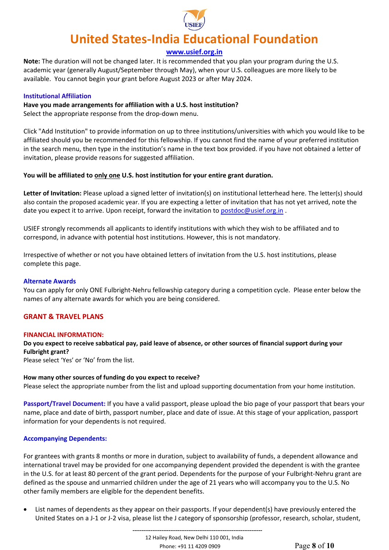

**[www.usief.org.in](http://www.usief.org.in/)**

**Note:** The duration will not be changed later. It is recommended that you plan your program during the U.S. academic year (generally August/September through May), when your U.S. colleagues are more likely to be available. You cannot begin your grant before August 2023 or after May 2024.

#### **Institutional Affiliation**

## **Have you made arrangements for affiliation with a U.S. host institution?**

Select the appropriate response from the drop-down menu.

Click "Add Institution" to provide information on up to three institutions/universities with which you would like to be affiliated should you be recommended for this fellowship. If you cannot find the name of your preferred institution in the search menu, then type in the institution's name in the text box provided. if you have not obtained a letter of invitation, please provide reasons for suggested affiliation.

## You will be affiliated to **only one U.S. host institution for your entire grant duration.**

**Letter of Invitation:** Please upload a signed letter of invitation(s) on institutional letterhead here. The letter(s) should also contain the proposed academic year. If you are expecting a letter of invitation that has not yet arrived, note the date you expect it to arrive. Upon receipt, forward the invitation to [postdoc@usief.org.in](mailto:postdoc@usief.org.in).

USIEF strongly recommends all applicants to identify institutions with which they wish to be affiliated and to correspond, in advance with potential host institutions. However, this is not mandatory.

Irrespective of whether or not you have obtained letters of invitation from the U.S. host institutions, please complete this page.

#### **Alternate Awards**

You can apply for only ONE Fulbright-Nehru fellowship category during a competition cycle. Please enter below the names of any alternate awards for which you are being considered.

## **GRANT & TRAVEL PLANS**

#### **FINANCIAL INFORMATION:**

# **Do you expect to receive sabbatical pay, paid leave of absence, or other sources of financial support during your Fulbright grant?**

Please select 'Yes' or 'No' from the list.

#### **How many other sources of funding do you expect to receive?**

Please select the appropriate number from the list and upload supporting documentation from your home institution.

**Passport/Travel Document:** If you have a valid passport, please upload the bio page of your passport that bears your name, place and date of birth, passport number, place and date of issue. At this stage of your application, passport information for your dependents is not required.

## **Accompanying Dependents:**

For grantees with grants 8 months or more in duration, subject to availability of funds, a dependent allowance and international travel may be provided for one accompanying dependent provided the dependent is with the grantee in the U.S. for at least 80 percent of the grant period. Dependents for the purpose of your Fulbright-Nehru grant are defined as the spouse and unmarried children under the age of 21 years who will accompany you to the U.S. No other family members are eligible for the dependent benefits.

• List names of dependents as they appear on their passports. If your dependent(s) have previously entered the United States on a J-1 or J-2 visa, please list the J category of sponsorship (professor, research, scholar, student,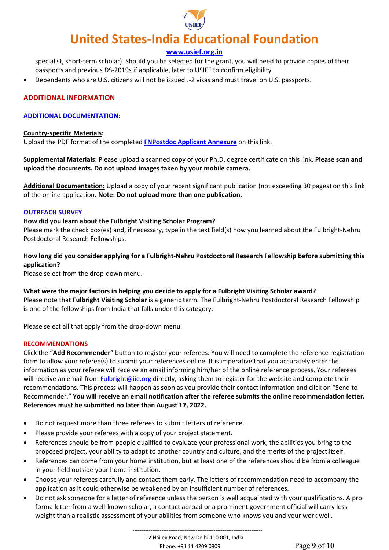

## **[www.usief.org.in](http://www.usief.org.in/)**

specialist, short-term scholar). Should you be selected for the grant, you will need to provide copies of their passports and previous DS-2019s if applicable, later to USIEF to confirm eligibility.

• Dependents who are U.S. citizens will not be issued J-2 visas and must travel on U.S. passports.

## **ADDITIONAL INFORMATION**

## **ADDITIONAL DOCUMENTATION:**

#### **Country-specific Materials:**

Upload the PDF format of the completed **[FNPostdoc Applicant Annexure](https://usief.org.in/uploadip/IP2023-24/FNPostdoc_annexure.pdf)** on this link.

**Supplemental Materials:** Please upload a scanned copy of your Ph.D. degree certificate on this link. **Please scan and upload the documents. Do not upload images taken by your mobile camera.**

**Additional Documentation:** Upload a copy of your recent significant publication (not exceeding 30 pages) on this link of the online application**. Note: Do not upload more than one publication.**

## **OUTREACH SURVEY**

## **How did you learn about the Fulbright Visiting Scholar Program?**

Please mark the check box(es) and, if necessary, type in the text field(s) how you learned about the Fulbright-Nehru Postdoctoral Research Fellowships.

# **How long did you consider applying for a Fulbright-Nehru Postdoctoral Research Fellowship before submitting this application?**

Please select from the drop-down menu.

**What were the major factors in helping you decide to apply for a Fulbright Visiting Scholar award?** Please note that **Fulbright Visiting Scholar** is a generic term. The Fulbright-Nehru Postdoctoral Research Fellowship is one of the fellowships from India that falls under this category.

Please select all that apply from the drop-down menu.

## **RECOMMENDATIONS**

Click the "**Add Recommender"** button to register your referees. You will need to complete the reference registration form to allow your referee(s) to submit your references online. It is imperative that you accurately enter the information as your referee will receive an email informing him/her of the online reference process. Your referees will receive an email fro[m Fulbright@iie.org](mailto:Fulbright@iie.org) directly, asking them to register for the website and complete their recommendations. This process will happen as soon as you provide their contact information and click on "Send to Recommender." **You will receive an email notification after the referee submits the online recommendation letter. References must be submitted no later than August 17, 2022.**

- Do not request more than three referees to submit letters of reference.
- Please provide your referees with a copy of your project statement.
- References should be from people qualified to evaluate your professional work, the abilities you bring to the proposed project, your ability to adapt to another country and culture, and the merits of the project itself.
- References can come from your home institution, but at least one of the references should be from a colleague in your field outside your home institution.
- Choose your referees carefully and contact them early. The letters of recommendation need to accompany the application as it could otherwise be weakened by an insufficient number of references.
- Do not ask someone for a letter of reference unless the person is well acquainted with your qualifications. A pro forma letter from a well-known scholar, a contact abroad or a prominent government official will carry less weight than a realistic assessment of your abilities from someone who knows you and your work well.